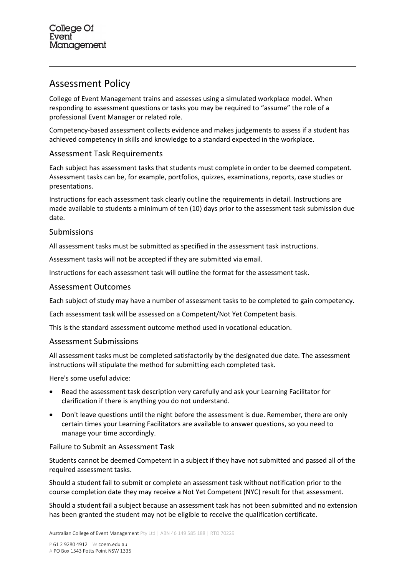# Assessment Policy

College of Event Management trains and assesses using a simulated workplace model. When responding to assessment questions or tasks you may be required to "assume" the role of a professional Event Manager or related role.

Competency-based assessment collects evidence and makes judgements to assess if a student has achieved competency in skills and knowledge to a standard expected in the workplace.

# Assessment Task Requirements

Each subject has assessment tasks that students must complete in order to be deemed competent. Assessment tasks can be, for example, portfolios, quizzes, examinations, reports, case studies or presentations.

Instructions for each assessment task clearly outline the requirements in detail. Instructions are made available to students a minimum of ten (10) days prior to the assessment task submission due date.

## Submissions

All assessment tasks must be submitted as specified in the assessment task instructions.

Assessment tasks will not be accepted if they are submitted via email.

Instructions for each assessment task will outline the format for the assessment task.

## Assessment Outcomes

Each subject of study may have a number of assessment tasks to be completed to gain competency.

Each assessment task will be assessed on a Competent/Not Yet Competent basis.

This is the standard assessment outcome method used in vocational education.

## Assessment Submissions

All assessment tasks must be completed satisfactorily by the designated due date. The assessment instructions will stipulate the method for submitting each completed task.

Here's some useful advice:

- Read the assessment task description very carefully and ask your Learning Facilitator for clarification if there is anything you do not understand.
- Don't leave questions until the night before the assessment is due. Remember, there are only certain times your Learning Facilitators are available to answer questions, so you need to manage your time accordingly.

## Failure to Submit an Assessment Task

Students cannot be deemed Competent in a subject if they have not submitted and passed all of the required assessment tasks.

Should a student fail to submit or complete an assessment task without notification prior to the course completion date they may receive a Not Yet Competent (NYC) result for that assessment.

Should a student fail a subject because an assessment task has not been submitted and no extension has been granted the student may not be eligible to receive the qualification certificate.

Australian College of Event Management Pty Ltd | ABN 46 149 585 188 | RTO 70229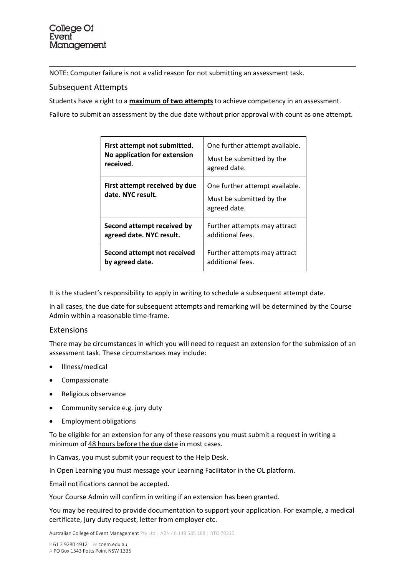NOTE: Computer failure is not a valid reason for not submitting an assessment task.

## Subsequent Attempts

Students have a right to a **maximum of two attempts** to achieve competency in an assessment.

Failure to submit an assessment by the due date without prior approval with count as one attempt.

| First attempt not submitted.                       | One further attempt available.                                             |
|----------------------------------------------------|----------------------------------------------------------------------------|
| No application for extension                       | Must be submitted by the                                                   |
| received.                                          | agreed date.                                                               |
| First attempt received by due<br>date. NYC result. | One further attempt available.<br>Must be submitted by the<br>agreed date. |
| Second attempt received by                         | Further attempts may attract                                               |
| agreed date. NYC result.                           | additional fees.                                                           |
| Second attempt not received                        | Further attempts may attract                                               |
| by agreed date.                                    | additional fees.                                                           |

It is the student's responsibility to apply in writing to schedule a subsequent attempt date.

In all cases, the due date for subsequent attempts and remarking will be determined by the Course Admin within a reasonable time-frame.

## Extensions

There may be circumstances in which you will need to request an extension for the submission of an assessment task. These circumstances may include:

- Illness/medical
- Compassionate
- Religious observance
- Community service e.g. jury duty
- Employment obligations

To be eligible for an extension for any of these reasons you must submit a request in writing a minimum of 48 hours before the due date in most cases.

In Canvas, you must submit your request to the Help Desk.

In Open Learning you must message your Learning Facilitator in the OL platform.

Email notifications cannot be accepted.

Your Course Admin will confirm in writing if an extension has been granted.

You may be required to provide documentation to support your application. For example, a medical certificate, jury duty request, letter from employer etc.

Australian College of Event Management Pty Ltd | ABN 46 149 585 188 | RTO 70229